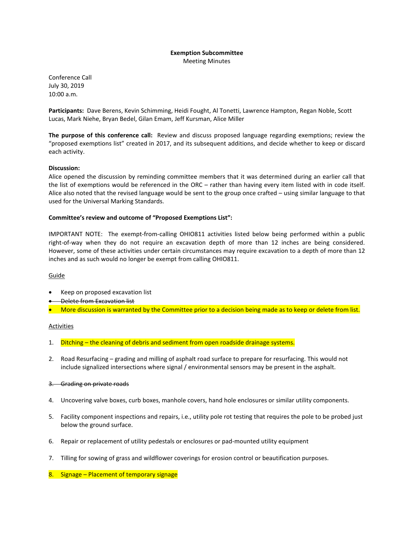#### **Exemption Subcommittee** Meeting Minutes

Conference Call July 30, 2019 10:00 a.m.

**Participants:** Dave Berens, Kevin Schimming, Heidi Fought, Al Tonetti, Lawrence Hampton, Regan Noble, Scott Lucas, Mark Niehe, Bryan Bedel, Gilan Emam, Jeff Kursman, Alice Miller

**The purpose of this conference call:** Review and discuss proposed language regarding exemptions; review the "proposed exemptions list" created in 2017, and its subsequent additions, and decide whether to keep or discard each activity.

# **Discussion:**

Alice opened the discussion by reminding committee members that it was determined during an earlier call that the list of exemptions would be referenced in the ORC – rather than having every item listed with in code itself. Alice also noted that the revised language would be sent to the group once crafted – using similar language to that used for the Universal Marking Standards.

# **Committee's review and outcome of "Proposed Exemptions List":**

IMPORTANT NOTE: The exempt-from-calling OHIO811 activities listed below being performed within a public right-of-way when they do not require an excavation depth of more than 12 inches are being considered. However, some of these activities under certain circumstances may require excavation to a depth of more than 12 inches and as such would no longer be exempt from calling OHIO811.

### Guide

- Keep on proposed excavation list
- **Belete from Excavation list**
- More discussion is warranted by the Committee prior to a decision being made as to keep or delete from list.

### Activities

- 1. Ditching the cleaning of debris and sediment from open roadside drainage systems.
- 2. Road Resurfacing grading and milling of asphalt road surface to prepare for resurfacing. This would not include signalized intersections where signal / environmental sensors may be present in the asphalt.

### 3. Grading on private roads

- 4. Uncovering valve boxes, curb boxes, manhole covers, hand hole enclosures or similar utility components.
- 5. Facility component inspections and repairs, i.e., utility pole rot testing that requires the pole to be probed just below the ground surface.
- 6. Repair or replacement of utility pedestals or enclosures or pad-mounted utility equipment
- 7. Tilling for sowing of grass and wildflower coverings for erosion control or beautification purposes.

# 8. Signage – Placement of temporary signage